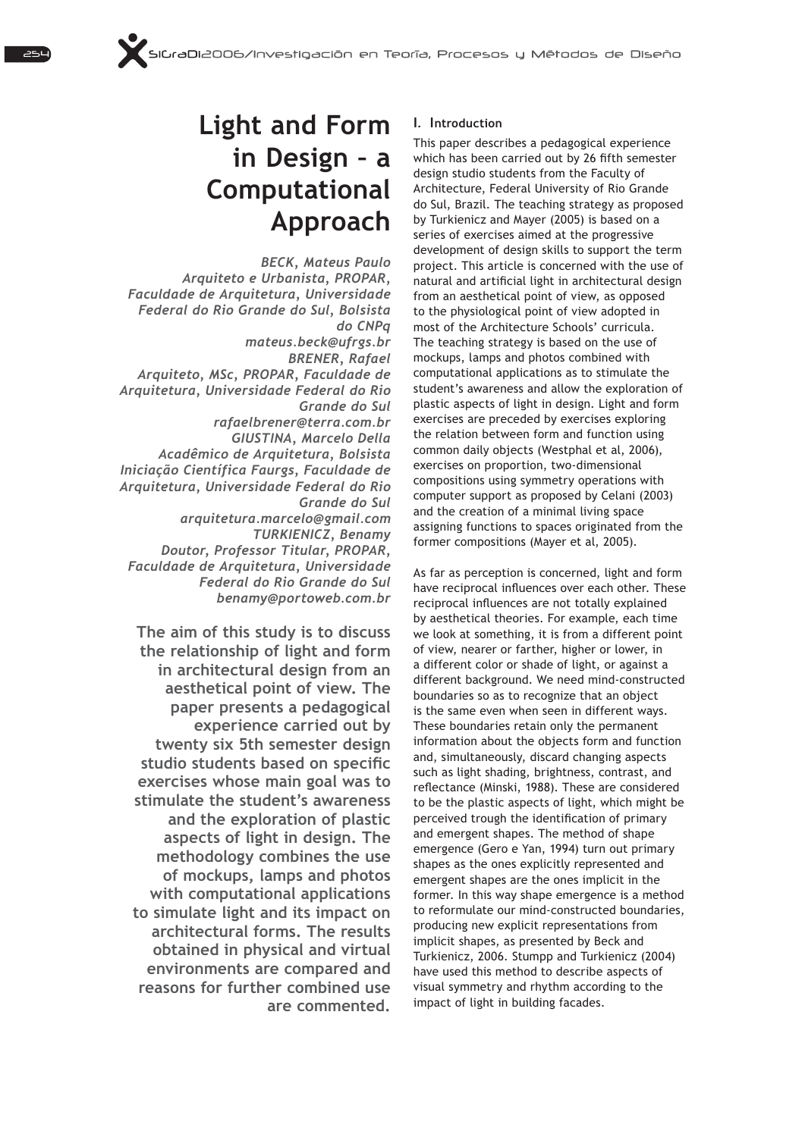# **Light and Form in Design – a Computational Approach**

*BECK, Mateus Paulo Arquiteto e Urbanista, PROPAR, Faculdade de Arquitetura, Universidade Federal do Rio Grande do Sul, Bolsista do CNPq mateus.beck@ufrgs.br BRENER, Rafael Arquiteto, MSc, PROPAR, Faculdade de Arquitetura, Universidade Federal do Rio Grande do Sul rafaelbrener@terra.com.br GIUSTINA, Marcelo Della Acadêmico de Arquitetura, Bolsista Iniciação Científica Faurgs, Faculdade de Arquitetura, Universidade Federal do Rio Grande do Sul arquitetura.marcelo@gmail.com TURKIENICZ, Benamy Doutor, Professor Titular, PROPAR, Faculdade de Arquitetura, Universidade Federal do Rio Grande do Sul benamy@portoweb.com.br*

**The aim of this study is to discuss the relationship of light and form in architectural design from an aesthetical point of view. The paper presents a pedagogical experience carried out by twenty six 5th semester design** studio students based on specific **exercises whose main goal was to stimulate the student's awareness and the exploration of plastic aspects of light in design. The methodology combines the use of mockups, lamps and photos with computational applications to simulate light and its impact on architectural forms. The results obtained in physical and virtual environments are compared and reasons for further combined use are commented.** 

## 1. I**ntroduction**

This paper describes a pedagogical experience which has been carried out by 26 fifth semester design studio students from the Faculty of Architecture, Federal University of Rio Grande do Sul, Brazil. The teaching strategy as proposed by Turkienicz and Mayer (2005) is based on a series of exercises aimed at the progressive development of design skills to support the term project. This article is concerned with the use of natural and artificial light in architectural design from an aesthetical point of view, as opposed to the physiological point of view adopted in most of the Architecture Schools' curricula. The teaching strategy is based on the use of mockups, lamps and photos combined with computational applications as to stimulate the student's awareness and allow the exploration of plastic aspects of light in design. Light and form exercises are preceded by exercises exploring the relation between form and function using common daily objects (Westphal et al, 2006), exercises on proportion, two-dimensional compositions using symmetry operations with computer support as proposed by Celani (2003) and the creation of a minimal living space assigning functions to spaces originated from the former compositions (Mayer et al, 2005).

As far as perception is concerned, light and form have reciprocal influences over each other. These reciprocal influences are not totally explained by aesthetical theories. For example, each time we look at something, it is from a different point of view, nearer or farther, higher or lower, in a different color or shade of light, or against a different background. We need mind-constructed boundaries so as to recognize that an object is the same even when seen in different ways. These boundaries retain only the permanent information about the objects form and function and, simultaneously, discard changing aspects such as light shading, brightness, contrast, and reflectance (Minski, 1988). These are considered to be the plastic aspects of light, which might be perceived trough the identification of primary and emergent shapes. The method of shape emergence (Gero e Yan, 1994) turn out primary shapes as the ones explicitly represented and emergent shapes are the ones implicit in the former. In this way shape emergence is a method to reformulate our mind-constructed boundaries, producing new explicit representations from implicit shapes, as presented by Beck and Turkienicz, 2006. Stumpp and Turkienicz (2004) have used this method to describe aspects of visual symmetry and rhythm according to the impact of light in building facades.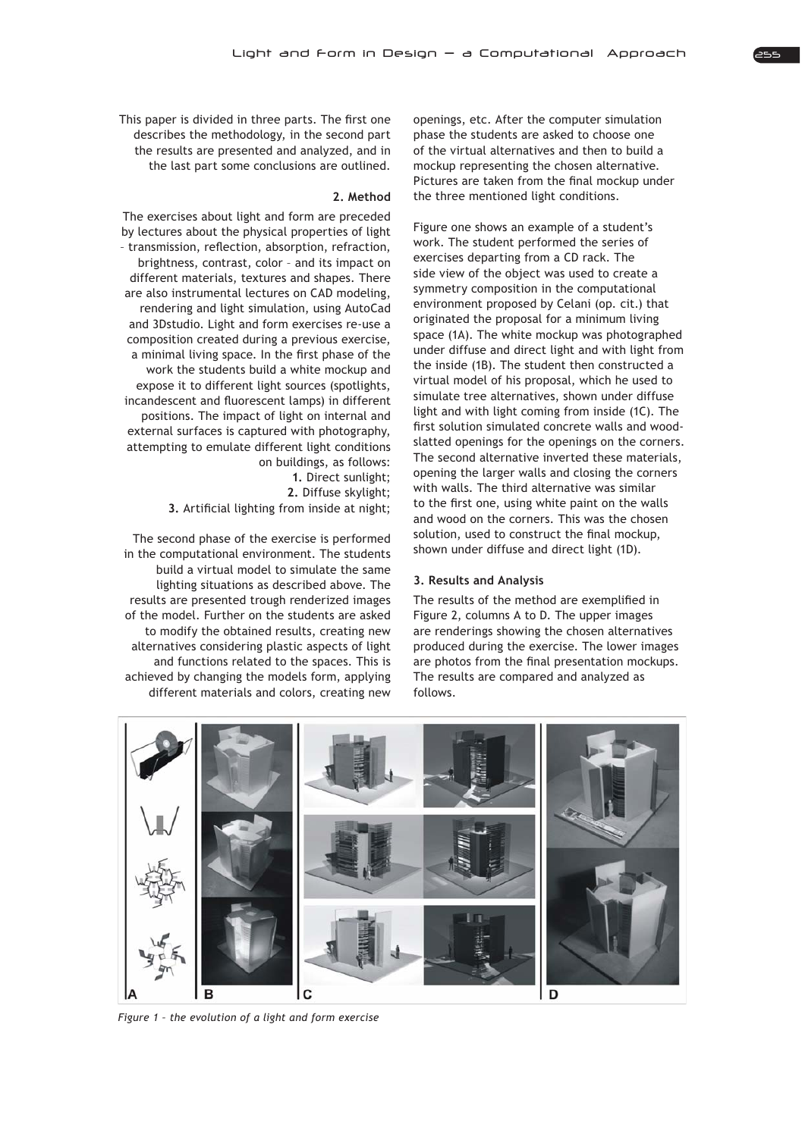This paper is divided in three parts. The first one describes the methodology, in the second part the results are presented and analyzed, and in the last part some conclusions are outlined.

#### **2. Method**

The exercises about light and form are preceded by lectures about the physical properties of light - transmission, reflection, absorption, refraction, brightness, contrast, color – and its impact on different materials, textures and shapes. There are also instrumental lectures on CAD modeling, rendering and light simulation, using AutoCad and 3Dstudio. Light and form exercises re-use a composition created during a previous exercise, a minimal living space. In the first phase of the work the students build a white mockup and expose it to different light sources (spotlights, incandescent and fluorescent lamps) in different positions. The impact of light on internal and external surfaces is captured with photography, attempting to emulate different light conditions on buildings, as follows:

> **1.** Direct sunlight; **2.** Diffuse skylight:

**3.** Artificial lighting from inside at night;

The second phase of the exercise is performed in the computational environment. The students build a virtual model to simulate the same lighting situations as described above. The results are presented trough renderized images of the model. Further on the students are asked to modify the obtained results, creating new alternatives considering plastic aspects of light and functions related to the spaces. This is achieved by changing the models form, applying different materials and colors, creating new

openings, etc. After the computer simulation phase the students are asked to choose one of the virtual alternatives and then to build a mockup representing the chosen alternative. Pictures are taken from the final mockup under the three mentioned light conditions.

Figure one shows an example of a student's work. The student performed the series of exercises departing from a CD rack. The side view of the object was used to create a symmetry composition in the computational environment proposed by Celani (op. cit.) that originated the proposal for a minimum living space (1A). The white mockup was photographed under diffuse and direct light and with light from the inside (1B). The student then constructed a virtual model of his proposal, which he used to simulate tree alternatives, shown under diffuse light and with light coming from inside (1C). The first solution simulated concrete walls and woodslatted openings for the openings on the corners. The second alternative inverted these materials, opening the larger walls and closing the corners with walls. The third alternative was similar to the first one, using white paint on the walls and wood on the corners. This was the chosen solution, used to construct the final mockup, shown under diffuse and direct light (1D).

### **3. Results and Analysis**

The results of the method are exemplified in Figure 2, columns A to D. The upper images are renderings showing the chosen alternatives produced during the exercise. The lower images are photos from the final presentation mockups. The results are compared and analyzed as follows.



Figure 1 - the evolution of a light and form exercise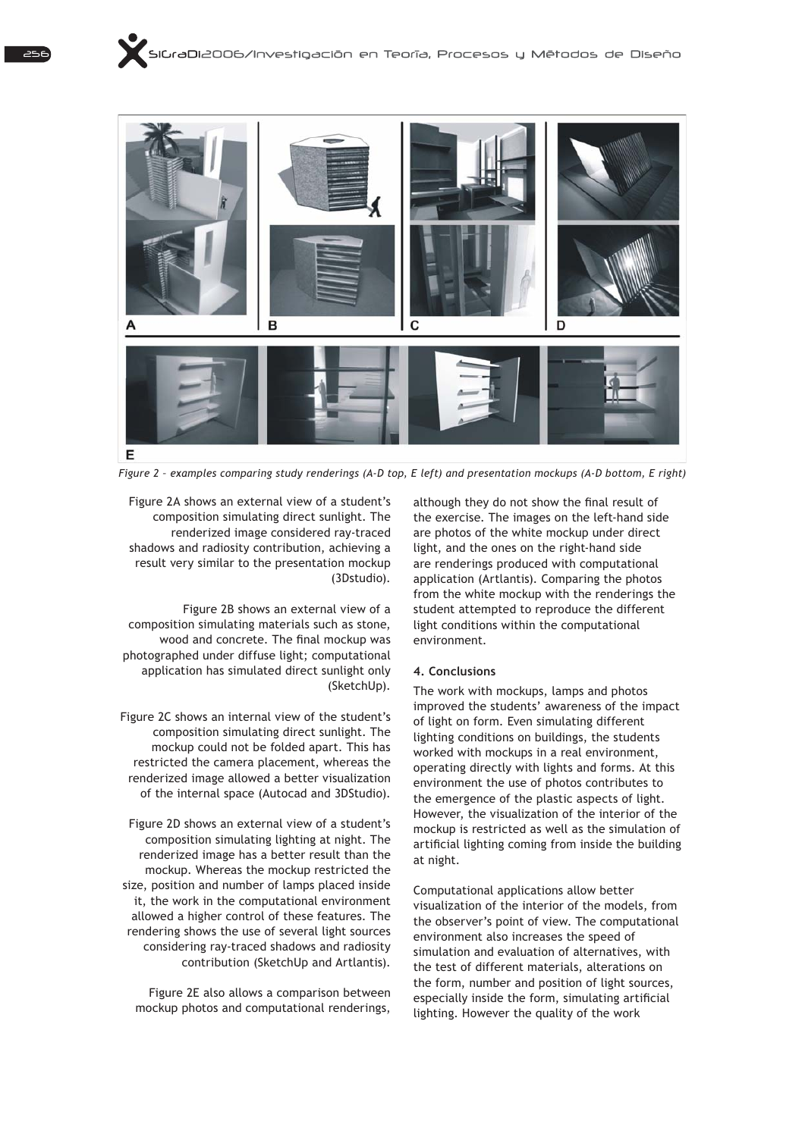

Figure 2 - examples comparing study renderings (A-D top, E left) and presentation mockups (A-D bottom, E right)

Figure 2A shows an external view of a student's composition simulating direct sunlight. The renderized image considered ray-traced shadows and radiosity contribution, achieving a result very similar to the presentation mockup (3Dstudio).

Figure 2B shows an external view of a composition simulating materials such as stone, wood and concrete. The final mockup was photographed under diffuse light; computational application has simulated direct sunlight only (SketchUp).

Figure 2C shows an internal view of the student's composition simulating direct sunlight. The mockup could not be folded apart. This has restricted the camera placement, whereas the renderized image allowed a better visualization of the internal space (Autocad and 3DStudio).

Figure 2D shows an external view of a student's composition simulating lighting at night. The renderized image has a better result than the mockup. Whereas the mockup restricted the size, position and number of lamps placed inside it, the work in the computational environment allowed a higher control of these features. The rendering shows the use of several light sources considering ray-traced shadows and radiosity contribution (SketchUp and Artlantis).

Figure 2E also allows a comparison between mockup photos and computational renderings, although they do not show the final result of the exercise. The images on the left-hand side are photos of the white mockup under direct light, and the ones on the right-hand side are renderings produced with computational application (Artlantis). Comparing the photos from the white mockup with the renderings the student attempted to reproduce the different light conditions within the computational environment.

### **4. Conclusions**

The work with mockups, lamps and photos improved the students' awareness of the impact of light on form. Even simulating different lighting conditions on buildings, the students worked with mockups in a real environment, operating directly with lights and forms. At this environment the use of photos contributes to the emergence of the plastic aspects of light. However, the visualization of the interior of the mockup is restricted as well as the simulation of artificial lighting coming from inside the building at night.

Computational applications allow better visualization of the interior of the models, from the observer's point of view. The computational environment also increases the speed of simulation and evaluation of alternatives, with the test of different materials, alterations on the form, number and position of light sources, especially inside the form, simulating artificial lighting. However the quality of the work